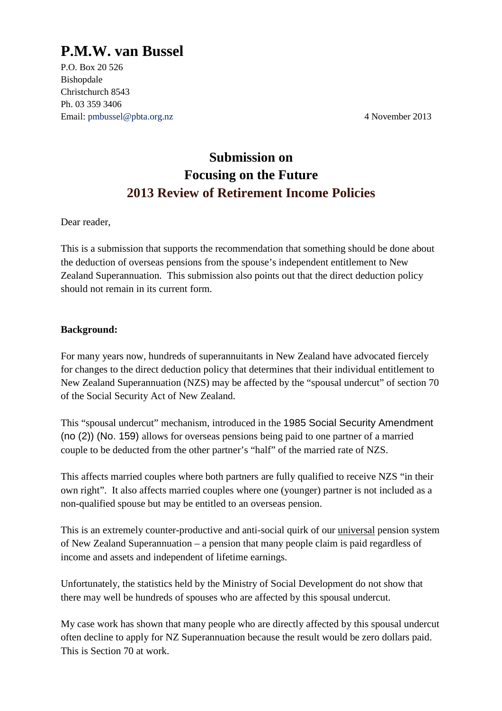# **P.M.W. van Bussel**

P.O. Box 20 526 Bishopdale Christchurch 8543 Ph. 03 359 3406 Email: pmbussel@pbta.org.nz 4 November 2013

## **Submission on Focusing on the Future 2013 Review of Retirement Income Policies**

Dear reader,

This is a submission that supports the recommendation that something should be done about the deduction of overseas pensions from the spouse's independent entitlement to New Zealand Superannuation. This submission also points out that the direct deduction policy should not remain in its current form.

#### **Background:**

For many years now, hundreds of superannuitants in New Zealand have advocated fiercely for changes to the direct deduction policy that determines that their individual entitlement to New Zealand Superannuation (NZS) may be affected by the "spousal undercut" of section 70 of the Social Security Act of New Zealand.

This "spousal undercut" mechanism, introduced in the 1985 Social Security Amendment (no (2)) (No. 159) allows for overseas pensions being paid to one partner of a married couple to be deducted from the other partner's "half" of the married rate of NZS.

This affects married couples where both partners are fully qualified to receive NZS "in their own right". It also affects married couples where one (younger) partner is not included as a non-qualified spouse but may be entitled to an overseas pension.

This is an extremely counter-productive and anti-social quirk of our universal pension system of New Zealand Superannuation – a pension that many people claim is paid regardless of income and assets and independent of lifetime earnings.

Unfortunately, the statistics held by the Ministry of Social Development do not show that there may well be hundreds of spouses who are affected by this spousal undercut.

My case work has shown that many people who are directly affected by this spousal undercut often decline to apply for NZ Superannuation because the result would be zero dollars paid. This is Section 70 at work.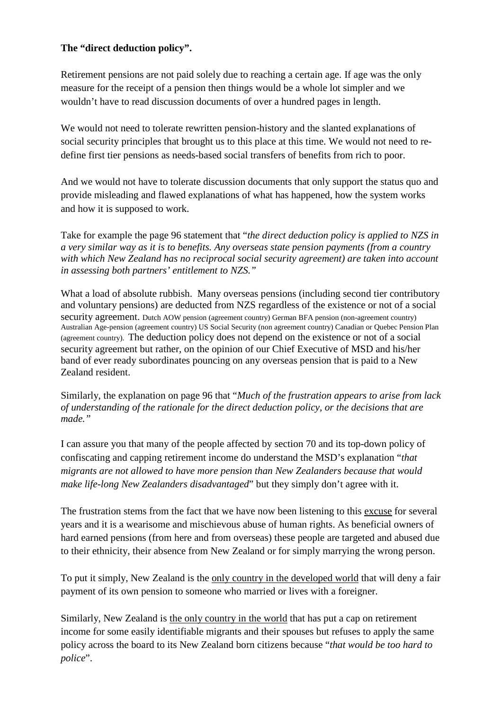#### **The "direct deduction policy".**

Retirement pensions are not paid solely due to reaching a certain age. If age was the only measure for the receipt of a pension then things would be a whole lot simpler and we wouldn't have to read discussion documents of over a hundred pages in length.

We would not need to tolerate rewritten pension-history and the slanted explanations of social security principles that brought us to this place at this time. We would not need to redefine first tier pensions as needs-based social transfers of benefits from rich to poor.

And we would not have to tolerate discussion documents that only support the status quo and provide misleading and flawed explanations of what has happened, how the system works and how it is supposed to work.

Take for example the page 96 statement that "*the direct deduction policy is applied to NZS in a very similar way as it is to benefits. Any overseas state pension payments (from a country with which New Zealand has no reciprocal social security agreement) are taken into account in assessing both partners' entitlement to NZS."* 

What a load of absolute rubbish. Many overseas pensions (including second tier contributory and voluntary pensions) are deducted from NZS regardless of the existence or not of a social security agreement. Dutch AOW pension (agreement country) German BFA pension (non-agreement country) Australian Age-pension (agreement country) US Social Security (non agreement country) Canadian or Quebec Pension Plan (agreement country). The deduction policy does not depend on the existence or not of a social security agreement but rather, on the opinion of our Chief Executive of MSD and his/her band of ever ready subordinates pouncing on any overseas pension that is paid to a New Zealand resident.

Similarly, the explanation on page 96 that "*Much of the frustration appears to arise from lack of understanding of the rationale for the direct deduction policy, or the decisions that are made."* 

I can assure you that many of the people affected by section 70 and its top-down policy of confiscating and capping retirement income do understand the MSD's explanation "*that migrants are not allowed to have more pension than New Zealanders because that would make life-long New Zealanders disadvantaged*" but they simply don't agree with it.

The frustration stems from the fact that we have now been listening to this excuse for several years and it is a wearisome and mischievous abuse of human rights. As beneficial owners of hard earned pensions (from here and from overseas) these people are targeted and abused due to their ethnicity, their absence from New Zealand or for simply marrying the wrong person.

To put it simply, New Zealand is the only country in the developed world that will deny a fair payment of its own pension to someone who married or lives with a foreigner.

Similarly, New Zealand is the only country in the world that has put a cap on retirement income for some easily identifiable migrants and their spouses but refuses to apply the same policy across the board to its New Zealand born citizens because "*that would be too hard to police*".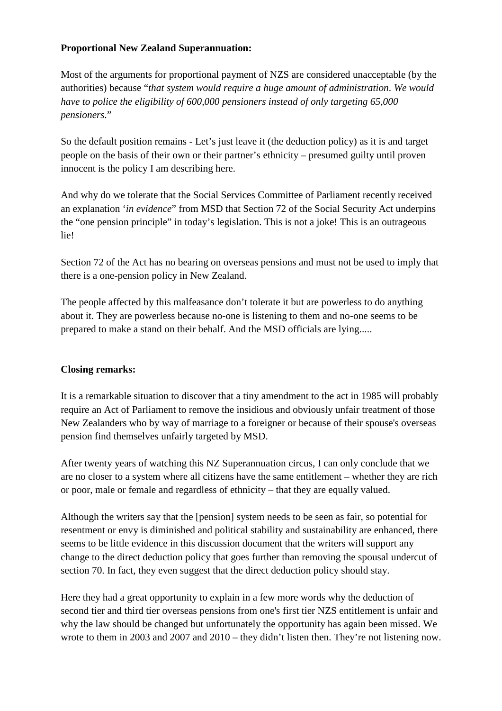#### **Proportional New Zealand Superannuation:**

Most of the arguments for proportional payment of NZS are considered unacceptable (by the authorities) because "*that system would require a huge amount of administration*. *We would have to police the eligibility of 600,000 pensioners instead of only targeting 65,000 pensioners.*"

So the default position remains - Let's just leave it (the deduction policy) as it is and target people on the basis of their own or their partner's ethnicity – presumed guilty until proven innocent is the policy I am describing here.

And why do we tolerate that the Social Services Committee of Parliament recently received an explanation '*in evidence*" from MSD that Section 72 of the Social Security Act underpins the "one pension principle" in today's legislation. This is not a joke! This is an outrageous lie!

Section 72 of the Act has no bearing on overseas pensions and must not be used to imply that there is a one-pension policy in New Zealand.

The people affected by this malfeasance don't tolerate it but are powerless to do anything about it. They are powerless because no-one is listening to them and no-one seems to be prepared to make a stand on their behalf. And the MSD officials are lying.....

### **Closing remarks:**

It is a remarkable situation to discover that a tiny amendment to the act in 1985 will probably require an Act of Parliament to remove the insidious and obviously unfair treatment of those New Zealanders who by way of marriage to a foreigner or because of their spouse's overseas pension find themselves unfairly targeted by MSD.

After twenty years of watching this NZ Superannuation circus, I can only conclude that we are no closer to a system where all citizens have the same entitlement – whether they are rich or poor, male or female and regardless of ethnicity – that they are equally valued.

Although the writers say that the [pension] system needs to be seen as fair, so potential for resentment or envy is diminished and political stability and sustainability are enhanced, there seems to be little evidence in this discussion document that the writers will support any change to the direct deduction policy that goes further than removing the spousal undercut of section 70. In fact, they even suggest that the direct deduction policy should stay.

Here they had a great opportunity to explain in a few more words why the deduction of second tier and third tier overseas pensions from one's first tier NZS entitlement is unfair and why the law should be changed but unfortunately the opportunity has again been missed. We wrote to them in 2003 and 2007 and 2010 – they didn't listen then. They're not listening now.